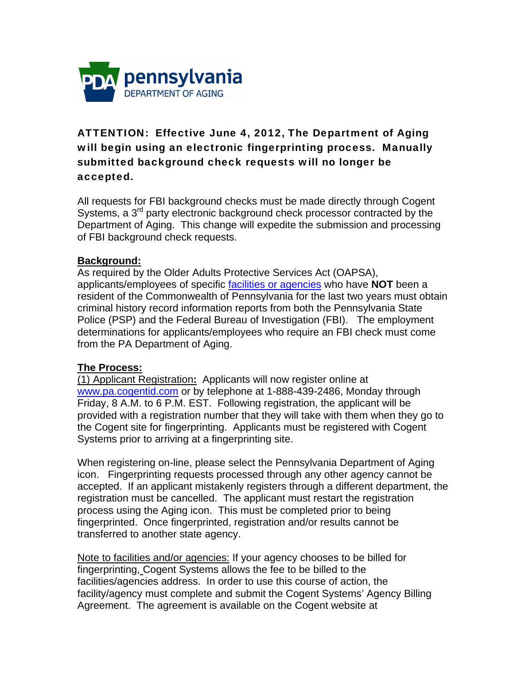

## ATTENTION: Effective June 4, 2012, The Department of Aging will begin using an electronic fingerprinting process. Manually submitted background check requests will no longer be accepted.

All requests for FBI background checks must be made directly through Cogent Systems, a 3<sup>rd</sup> party electronic background check processor contracted by the Department of Aging. This change will expedite the submission and processing of FBI background check requests.

## **Background:**

As required by the Older Adults Protective Services Act (OAPSA), applicants/employees of specific facilities or agencies who have **NOT** been a resident of the Commonwealth of Pennsylvania for the last two years must obtain criminal history record information reports from both the Pennsylvania State Police (PSP) and the Federal Bureau of Investigation (FBI). The employment determinations for applicants/employees who require an FBI check must come from the PA Department of Aging.

## **The Process:**

(1) Applicant Registration**:** Applicants will now register online at www.pa.cogentid.com or by telephone at 1-888-439-2486, Monday through Friday, 8 A.M. to 6 P.M. EST. Following registration, the applicant will be provided with a registration number that they will take with them when they go to the Cogent site for fingerprinting. Applicants must be registered with Cogent Systems prior to arriving at a fingerprinting site.

When registering on-line, please select the Pennsylvania Department of Aging icon. Fingerprinting requests processed through any other agency cannot be accepted. If an applicant mistakenly registers through a different department, the registration must be cancelled. The applicant must restart the registration process using the Aging icon. This must be completed prior to being fingerprinted. Once fingerprinted, registration and/or results cannot be transferred to another state agency.

Note to facilities and/or agencies: If your agency chooses to be billed for fingerprinting, Cogent Systems allows the fee to be billed to the facilities/agencies address. In order to use this course of action, the facility/agency must complete and submit the Cogent Systems' Agency Billing Agreement. The agreement is available on the Cogent website at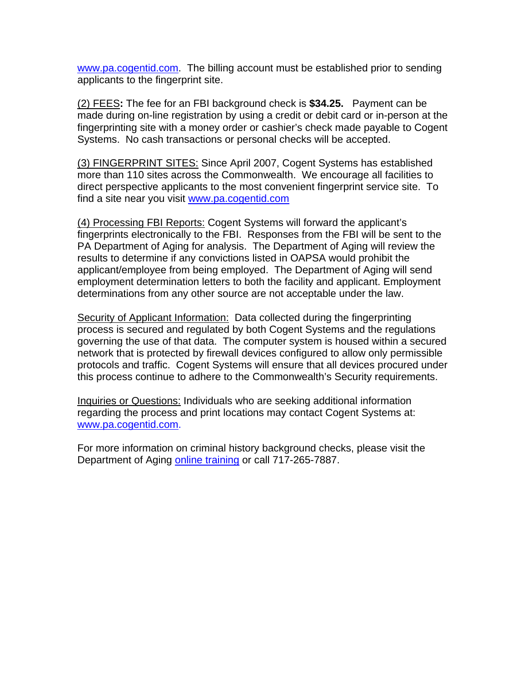www.pa.cogentid.com. The billing account must be established prior to sending applicants to the fingerprint site.

(2) FEES**:** The fee for an FBI background check is **\$34.25.** Payment can be made during on-line registration by using a credit or debit card or in-person at the fingerprinting site with a money order or cashier's check made payable to Cogent Systems. No cash transactions or personal checks will be accepted.

(3) FINGERPRINT SITES: Since April 2007, Cogent Systems has established more than 110 sites across the Commonwealth. We encourage all facilities to direct perspective applicants to the most convenient fingerprint service site. To find a site near you visit www.pa.cogentid.com

(4) Processing FBI Reports: Cogent Systems will forward the applicant's fingerprints electronically to the FBI. Responses from the FBI will be sent to the PA Department of Aging for analysis. The Department of Aging will review the results to determine if any convictions listed in OAPSA would prohibit the applicant/employee from being employed. The Department of Aging will send employment determination letters to both the facility and applicant. Employment determinations from any other source are not acceptable under the law.

Security of Applicant Information:Data collected during the fingerprinting process is secured and regulated by both Cogent Systems and the regulations governing the use of that data. The computer system is housed within a secured network that is protected by firewall devices configured to allow only permissible protocols and traffic. Cogent Systems will ensure that all devices procured under this process continue to adhere to the Commonwealth's Security requirements.

Inquiries or Questions: Individuals who are seeking additional information regarding the process and print locations may contact Cogent Systems at: www.pa.cogentid.com.

For more information on criminal history background checks, please visit the Department of Aging online training or call 717-265-7887.